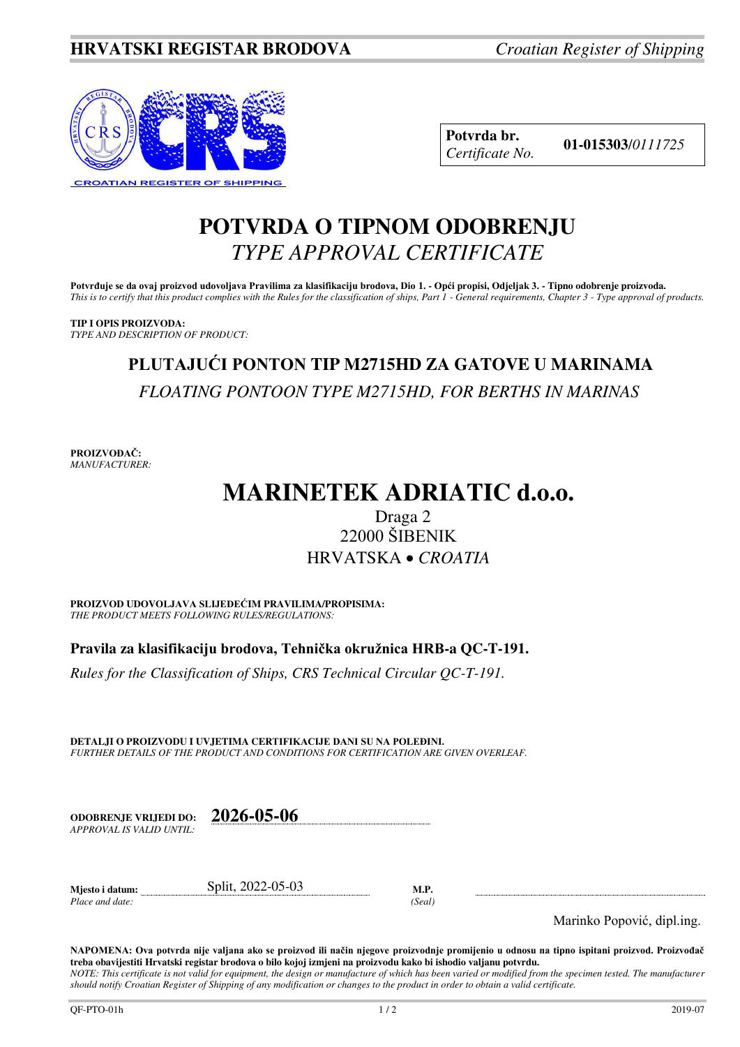

**Potvrda br. 01-015303**/*<sup>0111725</sup> Certificate No.* 

## **POTVRDA O TIPNOM ODOBRENJU**  *TYPE APPROVAL CERTIFICATE*

**Potvrđuje se da ovaj proizvod udovoljava Pravilima za klasifikaciju brodova, Dio 1. - Opći propisi, Odjeljak 3. - Tipno odobrenje proizvoda.**  *This is to certify that this product complies with the Rules for the classification of ships, Part 1 - General requirements, Chapter 3 - Type approval of products.* 

**TIP I OPIS PROIZVODA:** *TYPE AND DESCRIPTION OF PRODUCT:* 

# **PLUTAJUĆI PONTON TIP M2715HD ZA GATOVE U MARINAMA**  *FLOATING PONTOON TYPE M2715HD, FOR BERTHS IN MARINAS*

**PROIZVOĐAČ:** *MANUFACTURER:*

# **MARINETEK ADRIATIC d.o.o.**

### Draga 2 22000 ŠIBENIK HRVATSKA *CROATIA*

**PROIZVOD UDOVOLJAVA SLIJEDEĆIM PRAVILIMA/PROPISIMA:** *THE PRODUCT MEETS FOLLOWING RULES/REGULATIONS:* 

**Pravila za klasifikaciju brodova, Tehnička okružnica HRB-a QC-T-191.** 

*Rules for the Classification of Ships, CRS Technical Circular QC-T-191.*

**DETALJI O PROIZVODU I UVJETIMA CERTIFIKACIJE DANI SU NA POLEĐINI.** *FURTHER DETAILS OF THE PRODUCT AND CONDITIONS FOR CERTIFICATION ARE GIVEN OVERLEAF.* 

**ODOBRENJE VRIJEDI DO: 2026-05-06** *APPROVAL IS VALID UNTIL:*

**Mjesto i datum:** Split, 2022-05-03 **M.P.**  *Place and date: (Seal)* 

Marinko Popović, dipl.ing.

**NAPOMENA: Ova potvrda nije valjana ako se proizvod ili način njegove proizvodnje promijenio u odnosu na tipno ispitani proizvod. Proizvođač treba obavijestiti Hrvatski registar brodova o bilo kojoj izmjeni na proizvodu kako bi ishodio valjanu potvrdu.**  *NOTE: This certificate is not valid for equipment, the design or manufacture of which has been varied or modified from the specimen tested. The manufacturer* 

*should notify Croatian Register of Shipping of any modification or changes to the product in order to obtain a valid certificate.*